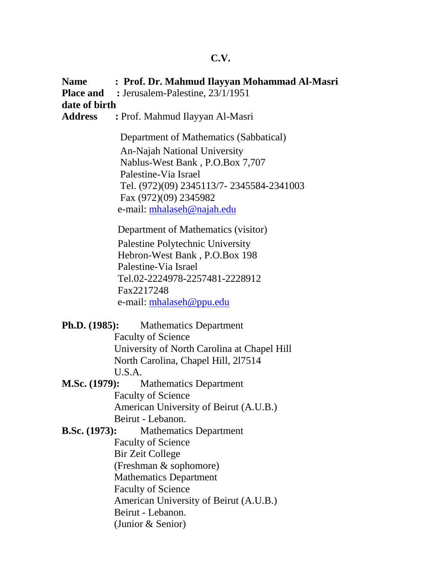## **C.V.**

**Name : Prof. Dr. Mahmud Ilayyan Mohammad Al-Masri Place and :** Jerusalem-Palestine, 23/1/1951 **date of birth Address :** Prof. Mahmud Ilayyan Al-Masri Department of Mathematics (Sabbatical) An-Najah National University Nablus-West Bank , P.O.Box 7,707 Palestine-Via Israel Tel. (972)(09) 2345113/7- 2345584-2341003 Fax (972)(09) 2345982 e-mail: mhalaseh@najah.edu Department of Mathematics (visitor) Palestine Polytechnic University Hebron-West Bank , P.O.Box 198 Palestine-Via Israel Tel.02-2224978-2257481-2228912 Fax2217248 e-mail: mhalaseh@ppu.edu **Ph.D. (1985):** Mathematics Department Faculty of Science University of North Carolina at Chapel Hill North Carolina, Chapel Hill, 2l7514 U.S.A. **M.Sc. (1979):** Mathematics Department Faculty of Science American University of Beirut (A.U.B.) Beirut - Lebanon. **B.Sc. (1973):** Mathematics Department Faculty of Science Bir Zeit College (Freshman & sophomore) Mathematics Department Faculty of Science American University of Beirut (A.U.B.) Beirut - Lebanon. (Junior & Senior)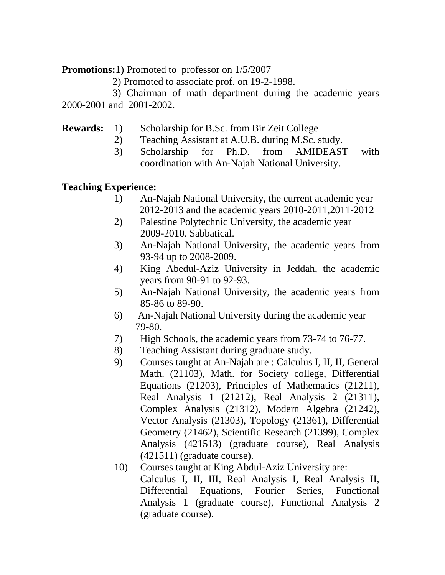**Promotions:**1) Promoted to professor on 1/5/2007

2) Promoted to associate prof. on 19-2-1998.

3) Chairman of math department during the academic years 2000-2001 and 2001-2002.

- **Rewards:** 1) Scholarship for B.Sc. from Bir Zeit College
	- 2) Teaching Assistant at A.U.B. during M.Sc. study.
	- 3) Scholarship for Ph.D. from AMIDEAST with coordination with An-Najah National University.

## **Teaching Experience:**

- 1) An-Najah National University, the current academic year 2012-2013 and the academic years 2010-2011,2011-2012
- 2) Palestine Polytechnic University, the academic year 2009-2010. Sabbatical.
- 3) An-Najah National University, the academic years from 93-94 up to 2008-2009.
- 4) King Abedul-Aziz University in Jeddah, the academic years from 90-91 to 92-93.
- 5) An-Najah National University, the academic years from 85-86 to 89-90.
- 6) An-Najah National University during the academic year 79-80.
- 7) High Schools, the academic years from 73-74 to 76-77.
- 8) Teaching Assistant during graduate study.
- 9) Courses taught at An-Najah are : Calculus I, II, II, General Math. (21103), Math. for Society college, Differential Equations (21203), Principles of Mathematics (21211), Real Analysis 1 (21212), Real Analysis 2 (21311), Complex Analysis (21312), Modern Algebra (21242), Vector Analysis (21303), Topology (21361), Differential Geometry (21462), Scientific Research (21399), Complex Analysis (421513) (graduate course), Real Analysis (421511) (graduate course).
- 10) Courses taught at King Abdul-Aziz University are: Calculus I, II, III, Real Analysis I, Real Analysis II, Differential Equations, Fourier Series, Functional Analysis 1 (graduate course), Functional Analysis 2 (graduate course).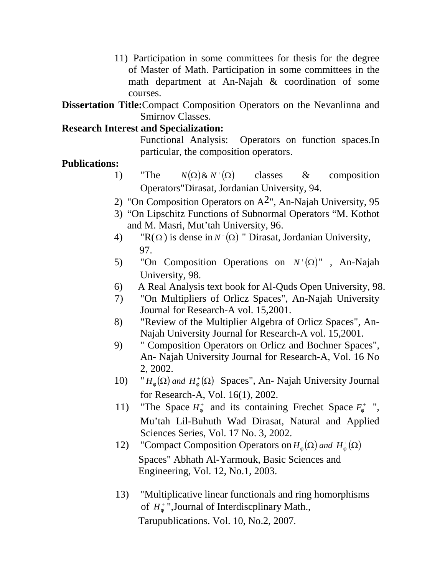11) Participation in some committees for thesis for the degree of Master of Math. Participation in some committees in the math department at An-Najah & coordination of some courses.

**Dissertation Title:**Compact Composition Operators on the Nevanlinna and Smirnov Classes.

## **Research Interest and Specialization:**

Functional Analysis: Operators on function spaces.In particular, the composition operators.

## **Publications:**

- 1) "The  $N(\Omega) \& N^+(\Omega)$  classes  $\&$  composition Operators"Dirasat, Jordanian University, 94.
- 2) "On Composition Operators on  $A^2$ ", An-Najah University, 95
- 3) "On Lipschitz Functions of Subnormal Operators "M. Kothot and M. Masri, Mut'tah University, 96.
- 4) "R( $\Omega$ ) is dense in  $N^+(\Omega)$  " Dirasat, Jordanian University, 97.
- 5) "On Composition Operations on  $N^+(\Omega)$ ", An-Najah University, 98.
- 6) A Real Analysis text book for Al-Quds Open University, 98.
- 7) "On Multipliers of Orlicz Spaces", An-Najah University Journal for Research-A vol. 15,2001.
- 8) "Review of the Multiplier Algebra of Orlicz Spaces", An- Najah University Journal for Research-A vol. 15,2001.
- 9) " Composition Operators on Orlicz and Bochner Spaces", An- Najah University Journal for Research-A, Vol. 16 No 2, 2002.
- 10) "  $H_w(\Omega)$  and  $H_w^+(\Omega)$  Spaces", An- Najah University Journal for Research-A, Vol. 16(1), 2002.
- 11) "The Space  $H_w^+$  and its containing Frechet Space  $F_w^+$ ", Mu'tah Lil-Buhuth Wad Dirasat, Natural and Applied Sciences Series, Vol. 17 No. 3, 2002.
- 12) "Compact Composition Operators on  $H_w(\Omega)$  and  $H_w^+(\Omega)$ Spaces" Abhath Al-Yarmouk, Basic Sciences and Engineering, Vol. 12, No.1, 2003.
- 13) "Multiplicative linear functionals and ring homorphisms of *H* ",Journal of Interdiscplinary Math., Tarupublications. Vol. 10, No.2, 2007.